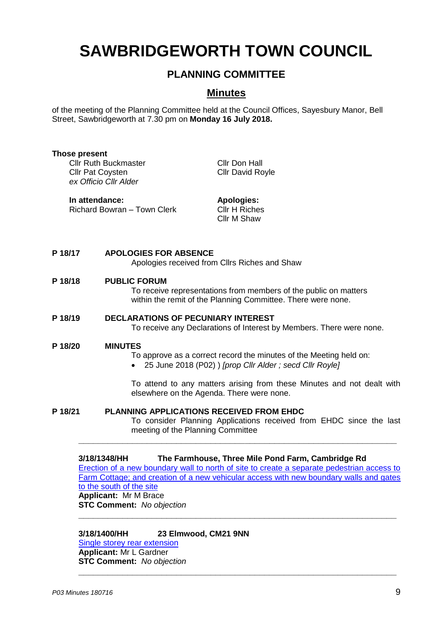# **SAWBRIDGEWORTH TOWN COUNCIL**

# **PLANNING COMMITTEE**

# **Minutes**

of the meeting of the Planning Committee held at the Council Offices, Sayesbury Manor, Bell Street, Sawbridgeworth at 7.30 pm on **Monday 16 July 2018.**

| <b>Those present</b><br><b>Cllr Ruth Buckmaster</b><br><b>Cllr Pat Coysten</b><br>ex Officio Cllr Alder<br>In attendance:<br>Richard Bowran - Town Clerk |                                                                                                                                                                                                                                                                        | <b>Cllr Don Hall</b><br><b>Cllr David Royle</b><br><b>Apologies:</b><br><b>Cllr H Riches</b><br>Cllr M Shaw                                                                                                                               |
|----------------------------------------------------------------------------------------------------------------------------------------------------------|------------------------------------------------------------------------------------------------------------------------------------------------------------------------------------------------------------------------------------------------------------------------|-------------------------------------------------------------------------------------------------------------------------------------------------------------------------------------------------------------------------------------------|
|                                                                                                                                                          |                                                                                                                                                                                                                                                                        |                                                                                                                                                                                                                                           |
| P 18/18                                                                                                                                                  | <b>PUBLIC FORUM</b><br>To receive representations from members of the public on matters<br>within the remit of the Planning Committee. There were none.                                                                                                                |                                                                                                                                                                                                                                           |
| P 18/19                                                                                                                                                  | <b>DECLARATIONS OF PECUNIARY INTEREST</b><br>To receive any Declarations of Interest by Members. There were none.                                                                                                                                                      |                                                                                                                                                                                                                                           |
| P 18/20                                                                                                                                                  | <b>MINUTES</b><br>To approve as a correct record the minutes of the Meeting held on:<br>25 June 2018 (P02) ) [prop Cllr Alder; secd Cllr Royle]<br>To attend to any matters arising from these Minutes and not dealt with<br>elsewhere on the Agenda. There were none. |                                                                                                                                                                                                                                           |
| PLANNING APPLICATIONS RECEIVED FROM EHDC<br>P 18/21<br>meeting of the Planning Committee                                                                 |                                                                                                                                                                                                                                                                        | To consider Planning Applications received from EHDC since the last                                                                                                                                                                       |
|                                                                                                                                                          | 3/18/1348/HH<br>to the south of the site<br><b>Applicant: Mr M Brace</b><br><b>STC Comment:</b> No objection                                                                                                                                                           | The Farmhouse, Three Mile Pond Farm, Cambridge Rd<br>Erection of a new boundary wall to north of site to create a separate pedestrian access to<br>Farm Cottage; and creation of a new vehicular access with new boundary walls and gates |

**3/18/1400/HH 23 Elmwood, CM21 9NN**

**\_\_\_\_\_\_\_\_\_\_\_\_\_\_\_\_\_\_\_\_\_\_\_\_\_\_\_\_\_\_\_\_\_\_\_\_\_\_\_\_\_\_\_\_\_\_\_\_\_\_\_\_\_\_\_\_\_\_\_\_\_\_\_\_\_**

**\_\_\_\_\_\_\_\_\_\_\_\_\_\_\_\_\_\_\_\_\_\_\_\_\_\_\_\_\_\_\_\_\_\_\_\_\_\_\_\_\_\_\_\_\_\_\_\_\_\_\_\_\_\_\_\_\_\_\_\_\_\_\_\_\_**

[Single storey rear extension](https://publicaccess.eastherts.gov.uk/online-applications/applicationDetails.do?activeTab=documents&keyVal=PAIMM8GLMFG00) **Applicant:** Mr L Gardner **STC Comment:** *No objection*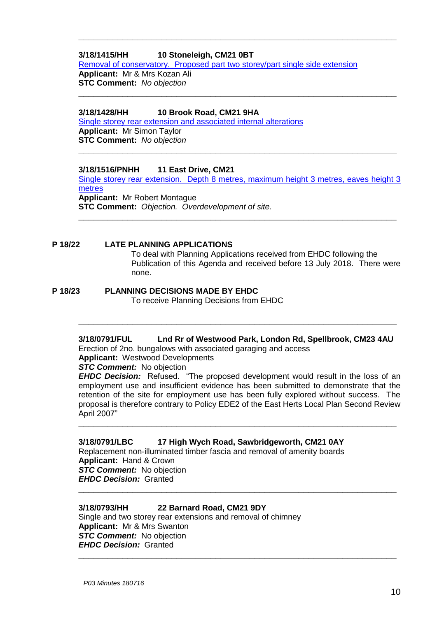#### **3/18/1415/HH 10 Stoneleigh, CM21 0BT**

[Removal of conservatory. Proposed part two storey/part single side extension](https://publicaccess.eastherts.gov.uk/online-applications/applicationDetails.do?activeTab=documents&keyVal=PAKSFEGLMGG00)

**\_\_\_\_\_\_\_\_\_\_\_\_\_\_\_\_\_\_\_\_\_\_\_\_\_\_\_\_\_\_\_\_\_\_\_\_\_\_\_\_\_\_\_\_\_\_\_\_\_\_\_\_\_\_\_\_\_\_\_\_\_\_\_\_\_**

**\_\_\_\_\_\_\_\_\_\_\_\_\_\_\_\_\_\_\_\_\_\_\_\_\_\_\_\_\_\_\_\_\_\_\_\_\_\_\_\_\_\_\_\_\_\_\_\_\_\_\_\_\_\_\_\_\_\_\_\_\_\_\_\_\_**

**Applicant:** Mr & Mrs Kozan Ali **STC Comment:** *No objection*

#### **3/18/1428/HH 10 Brook Road, CM21 9HA**

[Single storey rear extension and associated internal alterations](https://publicaccess.eastherts.gov.uk/online-applications/applicationDetails.do?activeTab=documents&keyVal=PAMN2HGLMH400) **Applicant:** Mr Simon Taylor **STC Comment:** *No objection*

**3/18/1516/PNHH 11 East Drive, CM21**

[Single storey rear extension. Depth 8 metres, maximum height 3 metres, eaves height 3](https://publicaccess.eastherts.gov.uk/online-applications/applicationDetails.do?activeTab=documents&keyVal=PB8G11GL04O00)  [metres](https://publicaccess.eastherts.gov.uk/online-applications/applicationDetails.do?activeTab=documents&keyVal=PB8G11GL04O00) **Applicant:** Mr Robert Montague **STC Comment:** *Objection. Overdevelopment of site.* 

**\_\_\_\_\_\_\_\_\_\_\_\_\_\_\_\_\_\_\_\_\_\_\_\_\_\_\_\_\_\_\_\_\_\_\_\_\_\_\_\_\_\_\_\_\_\_\_\_\_\_\_\_\_\_\_\_\_\_\_\_\_\_\_\_\_**

**\_\_\_\_\_\_\_\_\_\_\_\_\_\_\_\_\_\_\_\_\_\_\_\_\_\_\_\_\_\_\_\_\_\_\_\_\_\_\_\_\_\_\_\_\_\_\_\_\_\_\_\_\_\_\_\_\_\_\_\_\_\_\_\_\_**

**P 18/22 LATE PLANNING APPLICATIONS**

To deal with Planning Applications received from EHDC following the Publication of this Agenda and received before 13 July 2018. There were none.

### **P 18/23 PLANNING DECISIONS MADE BY EHDC**

To receive Planning Decisions from EHDC

# **3/18/0791/FUL Lnd Rr of Westwood Park, London Rd, Spellbrook, CM23 4AU**

**\_\_\_\_\_\_\_\_\_\_\_\_\_\_\_\_\_\_\_\_\_\_\_\_\_\_\_\_\_\_\_\_\_\_\_\_\_\_\_\_\_\_\_\_\_\_\_\_\_\_\_\_\_\_\_\_\_\_\_\_\_\_\_\_\_**

Erection of 2no. bungalows with associated garaging and access

**Applicant:** Westwood Developments

## *STC Comment:* No objection

*EHDC Decision:* Refused. "The proposed development would result in the loss of an employment use and insufficient evidence has been submitted to demonstrate that the retention of the site for employment use has been fully explored without success. The proposal is therefore contrary to Policy EDE2 of the East Herts Local Plan Second Review April 2007"

**\_\_\_\_\_\_\_\_\_\_\_\_\_\_\_\_\_\_\_\_\_\_\_\_\_\_\_\_\_\_\_\_\_\_\_\_\_\_\_\_\_\_\_\_\_\_\_\_\_\_\_\_\_\_\_\_\_\_\_\_\_\_\_\_\_**

**\_\_\_\_\_\_\_\_\_\_\_\_\_\_\_\_\_\_\_\_\_\_\_\_\_\_\_\_\_\_\_\_\_\_\_\_\_\_\_\_\_\_\_\_\_\_\_\_\_\_\_\_\_\_\_\_\_\_\_\_\_\_\_\_\_**

#### **3/18/0791/LBC 17 High Wych Road, Sawbridgeworth, CM21 0AY**

Replacement non-illuminated timber fascia and removal of amenity boards **Applicant:** Hand & Crown *STC Comment:* No objection

*EHDC Decision:* Granted **\_\_\_\_\_\_\_\_\_\_\_\_\_\_\_\_\_\_\_\_\_\_\_\_\_\_\_\_\_\_\_\_\_\_\_\_\_\_\_\_\_\_\_\_\_\_\_\_\_\_\_\_\_\_\_\_\_\_\_\_\_\_\_\_\_**

#### **3/18/0793/HH 22 Barnard Road, CM21 9DY**

Single and two storey rear extensions and removal of chimney **Applicant:** Mr & Mrs Swanton **STC Comment:** No objection *EHDC Decision:* Granted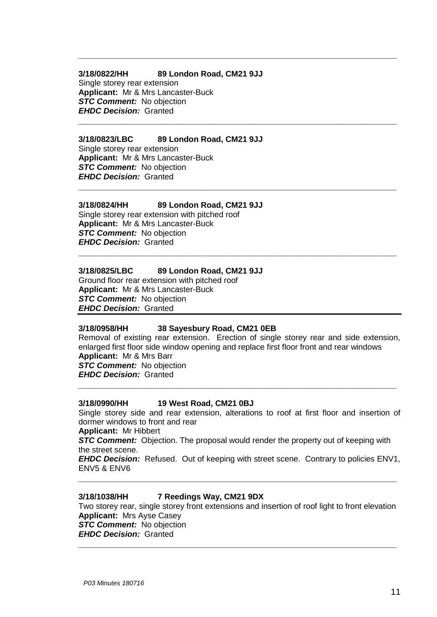#### **3/18/0822/HH 89 London Road, CM21 9JJ**

Single storey rear extension **Applicant:** Mr & Mrs Lancaster-Buck *STC Comment:* No objection *EHDC Decision:* Granted

#### **3/18/0823/LBC 89 London Road, CM21 9JJ**

Single storey rear extension **Applicant:** Mr & Mrs Lancaster-Buck **STC Comment:** No objection *EHDC Decision:* Granted

#### **3/18/0824/HH 89 London Road, CM21 9JJ**

Single storey rear extension with pitched roof **Applicant:** Mr & Mrs Lancaster-Buck **STC Comment:** No objection *EHDC Decision:* Granted

#### **3/18/0825/LBC 89 London Road, CM21 9JJ**

Ground floor rear extension with pitched roof **Applicant:** Mr & Mrs Lancaster-Buck **STC Comment:** No objection *EHDC Decision:* Granted

#### **3/18/0958/HH 38 Sayesbury Road, CM21 0EB**

Removal of existing rear extension. Erection of single storey rear and side extension, enlarged first floor side window opening and replace first floor front and rear windows **Applicant:** Mr & Mrs Barr *STC Comment:* No objection *EHDC Decision:* Granted

**\_\_\_\_\_\_\_\_\_\_\_\_\_\_\_\_\_\_\_\_\_\_\_\_\_\_\_\_\_\_\_\_\_\_\_\_\_\_\_\_\_\_\_\_\_\_\_\_\_\_\_\_\_\_\_\_\_\_\_\_\_\_\_\_\_**

**\_\_\_\_\_\_\_\_\_\_\_\_\_\_\_\_\_\_\_\_\_\_\_\_\_\_\_\_\_\_\_\_\_\_\_\_\_\_\_\_\_\_\_\_\_\_\_\_\_\_\_\_\_\_\_\_\_\_\_\_\_\_\_\_\_**

**\_\_\_\_\_\_\_\_\_\_\_\_\_\_\_\_\_\_\_\_\_\_\_\_\_\_\_\_\_\_\_\_\_\_\_\_\_\_\_\_\_\_\_\_\_\_\_\_\_\_\_\_\_\_\_\_\_\_\_\_\_\_\_\_\_**

**\_\_\_\_\_\_\_\_\_\_\_\_\_\_\_\_\_\_\_\_\_\_\_\_\_\_\_\_\_\_\_\_\_\_\_\_\_\_\_\_\_\_\_\_\_\_\_\_\_\_\_\_\_\_\_\_\_\_\_\_\_\_\_\_\_**

**\_\_\_\_\_\_\_\_\_\_\_\_\_\_\_\_\_\_\_\_\_\_\_\_\_\_\_\_\_\_\_\_\_\_\_\_\_\_\_\_\_\_\_\_\_\_\_\_\_\_\_\_\_\_\_\_\_\_\_\_\_\_\_\_\_**

#### **3/18/0990/HH 19 West Road, CM21 0BJ**

Single storey side and rear extension, alterations to roof at first floor and insertion of dormer windows to front and rear

**Applicant:** Mr Hibbert

**STC Comment:** Objection. The proposal would render the property out of keeping with the street scene.

*EHDC Decision:* Refused. Out of keeping with street scene. Contrary to policies ENV1, ENV5 & ENV6

**\_\_\_\_\_\_\_\_\_\_\_\_\_\_\_\_\_\_\_\_\_\_\_\_\_\_\_\_\_\_\_\_\_\_\_\_\_\_\_\_\_\_\_\_\_\_\_\_\_\_\_\_\_\_\_\_\_\_\_\_\_\_\_\_\_**

#### **3/18/1038/HH 7 Reedings Way, CM21 9DX**

Two storey rear, single storey front extensions and insertion of roof light to front elevation **Applicant:** Mrs Ayse Casey **STC Comment:** No objection *EHDC Decision:* Granted

**\_\_\_\_\_\_\_\_\_\_\_\_\_\_\_\_\_\_\_\_\_\_\_\_\_\_\_\_\_\_\_\_\_\_\_\_\_\_\_\_\_\_\_\_\_\_\_\_\_\_\_\_\_\_\_\_\_\_\_\_\_\_\_\_\_**